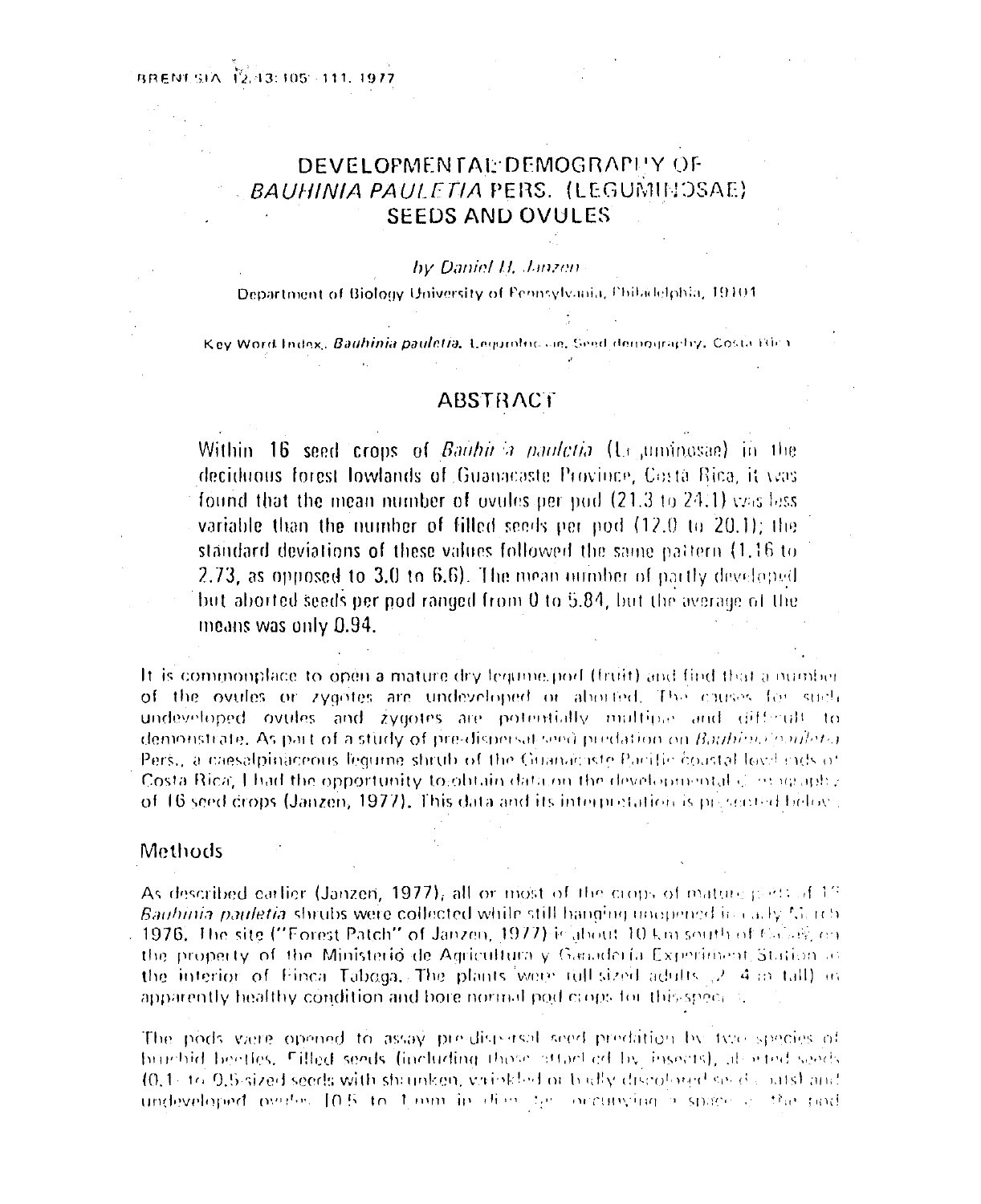# DEVELOPMENTAL: DEMOGRAPHY OF **BAUHINIA PAULETIA PERS. (LEGUMINOSAE) SEEDS AND OVULES**

#### by Daniel H. Janzen

Department of Biology University of Pennsylvania, Philadelphia, 19101

Key Word Index, Bauhinia pauletia. Legumbre an, Seed demography, Costa Blea

# **ABSTRACT**

Within 16 seed crops of Baithn a paulotia (Le uminosae) in the deciduous forest lowlands of Guanacaste Province, Costa Rica, it yes found that the mean number of ovules per pod (21.3 to 24.1) yzis less variable than the number of filled seeds per pod (12.0 to 20.1); the standard deviations of these values followed the same pattern (1.16 to 2.73, as opposed to  $3.0$  to  $6.6$ ). The mean number of partly developed but aborted seeds per pod ranged from 0 to 5.84, but the average of the means was only 0.94.

It is commonplace to open a mature dry lequine port (fruit) and find that a number of the ovules or zygotes are undeveloped or aborted. The causes for such undeveloped ovules and zygotes are potentially multiple and different to demonstrate. As part of a study of pre-dispersal seed predation on Bauhino coulets Pers., a caesalpinaceous legume shrub of the Guanaciste Pacific coastal love cits of Costa Rica, I had the opportunity to obtain data on the developmental  $\in$  2019 aphy of 16 seed drops (Janzen, 1977). This data and its interpretation is presented below.

# Methods

As described carlier (Janzen, 1977), all or most of the crops of mature point of 17 Bauhinia pauletia shrubs were collected while still hanging unopened in early Merch 1976. The site ("Forest Patch" of Janzen, 1977) is about 10 km south of Cabage on the property of the Ministerio de Agricultura y Ganadería Experiment Station as the interior of Finca Tabaga, The plants were full sized adults  $2\neq 4$  and all and apparently healthy condition and bore normal pod crops for this special.

The pods viere opened to assay pre-dispersal seed predation by type species of burshid beetles. Filled seeds (including those attacked by insects), also ted seeds (0.1) to 0.5-sized seeds with shounken, variabled or bodly discoloned seeds and undeveloped ovates [0.5 to 1 mm in dieg by occupying a space of the pod-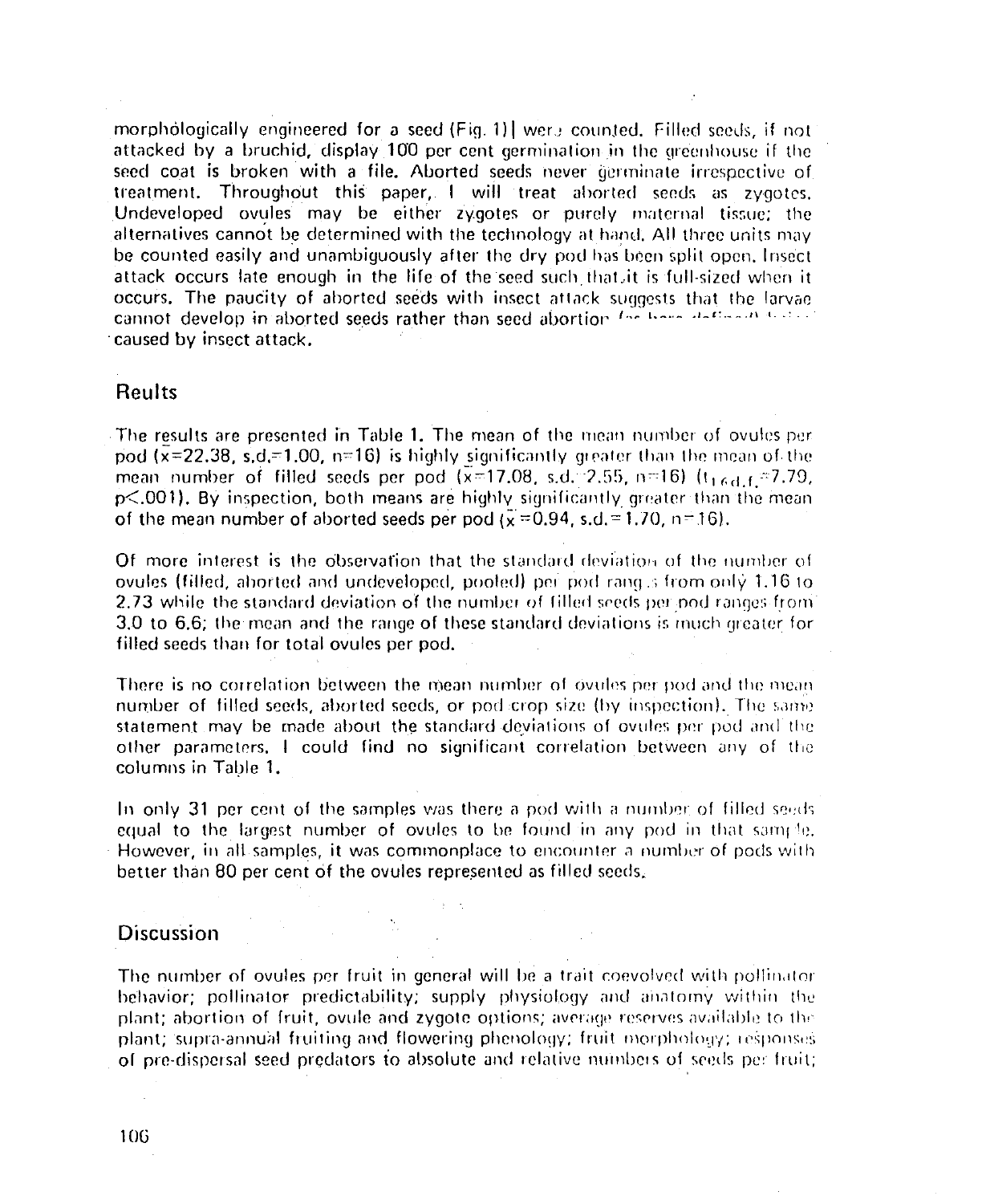morphologically engineered for a seed (Fig. 1) were counted. Filled seeds, if not attacked by a bruchid, display 100 per cent germination in the greenhouse if the seed coat is broken with a file. Aborted seeds never germinate irrespective of treatment. Throughout this paper. I will treat aborted seeds as zygotes. Undeveloped ovules may be either zygotes or purely maternal tissue; the alternatives cannot be determined with the technology at hand. All three units may be counted easily and unambiguously after the dry pod has been split open, Insect attack occurs late enough in the life of the seed such that, it is full-sized when it occurs. The paucity of aborted seeds with insect attack suggests that the larvae cannot develop in aborted seeds rather than seed abortion for home defined that caused by insect attack.

### Reults

The results are presented in Table 1. The mean of the mean number of ovules per pod  $(\bar{x}=22.38, s.d.=1.00, n=16)$  is highly significantly greater than the mean of the mean number of filled seeds per pod  $(x=17.08, s.d.^2.55, n=16)$  ( $t_{16,d,f}=7.79$ , p<.001). By inspection, both means are highly significantly greater than the mean of the mean number of aborted seeds per pod  $(\bar{x} = 0.94, s.d. = 1.70, n = 16)$ .

Of more interest is the observation that the standard deviation of the number of ovules (filled, aborted and undeveloped, pooled) per pod rang s from only 1.16 to 2.73 while the standard deviation of the number of filled seeds per pod ranges from 3.0 to 6.6; the mean and the range of these standard deviations is much greater for filled seeds than for total ovules per pod.

There is no correlation between the mean number of ovules per pod and the mean number of filled seeds, aborted seeds, or pod crop size (by inspection). The same statement may be made about the standard deviations of ovules per pod and the other parameters, I could find no significant correlation between any of the columns in Table 1.

In only 31 per cent of the samples was there a pod with a number of filled seeds equal to the largest number of ovules to be found in any pod in that sample. However, in all samples, it was commonplace to encounter a number of pods with better than 80 per cent of the ovules represented as filled seeds,

# **Discussion**

The number of ovules per fruit in general will be a trait coevolved with pollinator behavior; pollinator predictability; supply physiology and anatomy within the plant; abortion of fruit, ovule and zygote options; average reserves available to the plant; supra-annual fruiting and flowering phenology; fruit morphology; responses of pre-dispersal seed predators to absolute and relative numbers of seeds per fruit;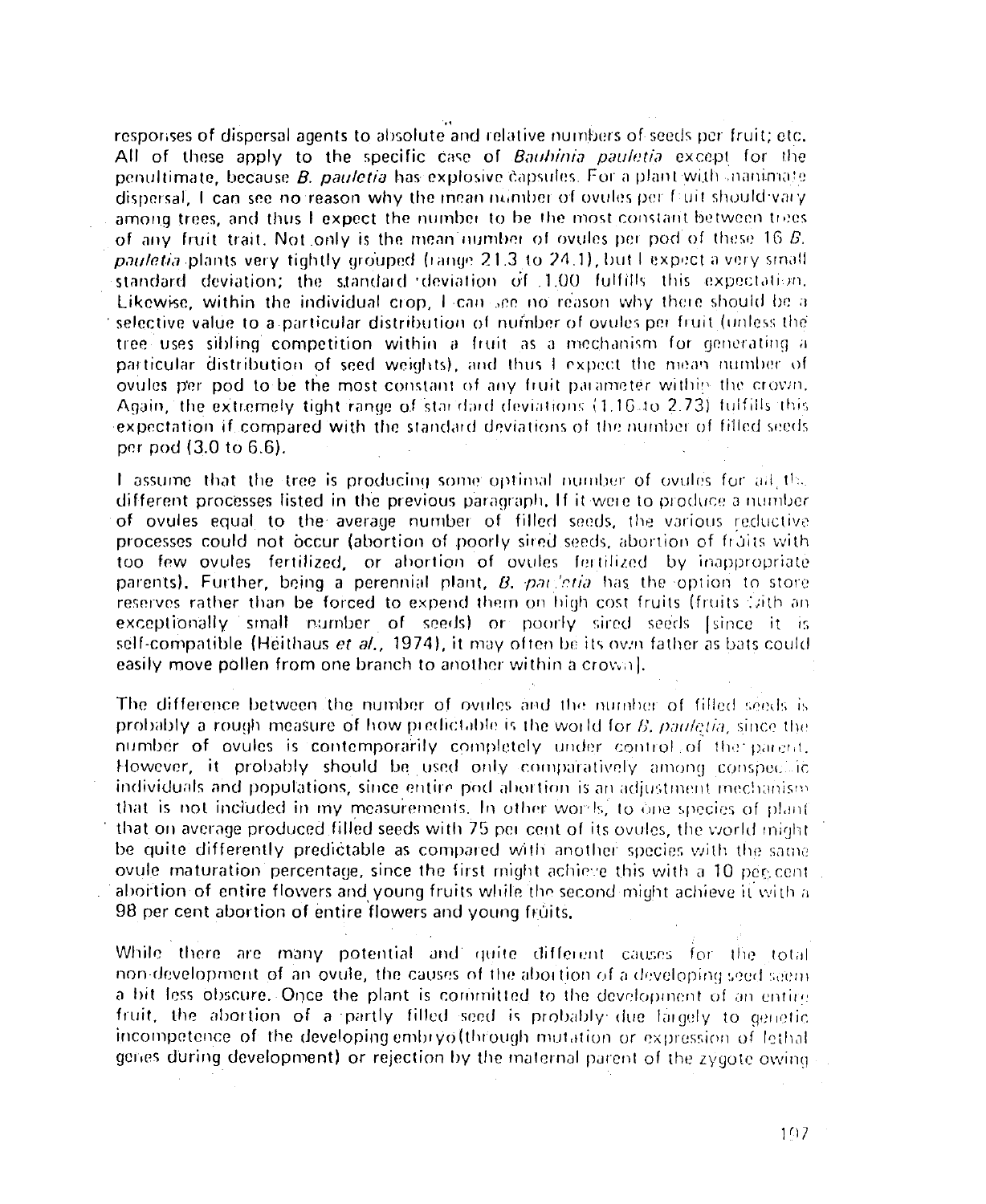responses of dispersal agents to absolute and relative numbers of seeds per fruit; etc. All of these apply to the specific case of Bauhinia pauletia except for the penultimate, because *B. pauletia* has explosive capsules. For a plant with manimate dispersal, I can see no reason why the mean number of ovules per fluit should vary among trees, and thus I expect the number to be the most constant between trees of any fruit trait. Not only is the mean number of ovules per pod of these 16 B. pauletia plants very tightly grouped (range 21.3 to 24.1), but I expect a very small standard deviation; the standard deviation of 1.00 fulfills this expectation. Likewise, within the individual crop. I can see no reason why there should be a selective value to a particular distribution of number of ovules per fruit (unless the tree uses sibling competition within a fruit as a mechanism for generating a particular distribution of seed weights), and thus I expect the mean number of ovules per pod to be the most constant of any fruit parameter within the crown. Again, the extremely tight range of stardard deviations (1.16.10-2.73) fulfills this expectation if compared with the standard deviations of the number of filled seeds per pod (3.0 to 6.6).

I assume that the tree is producing some optimal number of ovules for all the different processes listed in the previous paragraph. If it were to produce a number of ovules equal to the average number of filled seeds, the various reductive processes could not occur (abortion of poorly sired seeds, abortion of fruits with too few ovules fertilized, or abortion of ovules fertilized by inappropriate parents). Further, being a perennial plant,  $B$ , par *citia* has the option to store reserves rather than be forced to expend them on high cost fruits (fruits (aith an exceptionally small number of seeds) or poorly sired seeds (since it is self-compatible (Heithaus et al., 1974), it may often be its own father as bats could easily move pollen from one branch to another within a crowal.

The difference between the number of ovules and the number of filled seeds is probably a rough measure of how predictable is the world for B, pauletia, since the number of ovules is contemporarily completely under control. of the parent, However, it probably should be used only comparatively among conspecial individuals and populations, since entire pod abortion is an adjustment mechanism that is not included in my measurements. In other words, to one species of plant that on average produced filled seeds with 75 per cent of its ovules, the world might be quite differently predictable as compared with another species with the same ovule maturation percentage, since the first might achieve this with a 10 per cent abortion of entire flowers and young fruits while the second might achieve it with a 98 per cent abortion of entire flowers and young fruits.

While there are many potential and quite different causes for the total non-development of an ovule, the causes of the abortion of a developing seed seem a bit less obscure. Once the plant is committed to the development of an entire fruit, the abortion of a partly filled seed is probably due largely to genetic incompetence of the developing embry of through mutation or expression of lethal genes during development) or rejection by the maternal parent of the zygote owing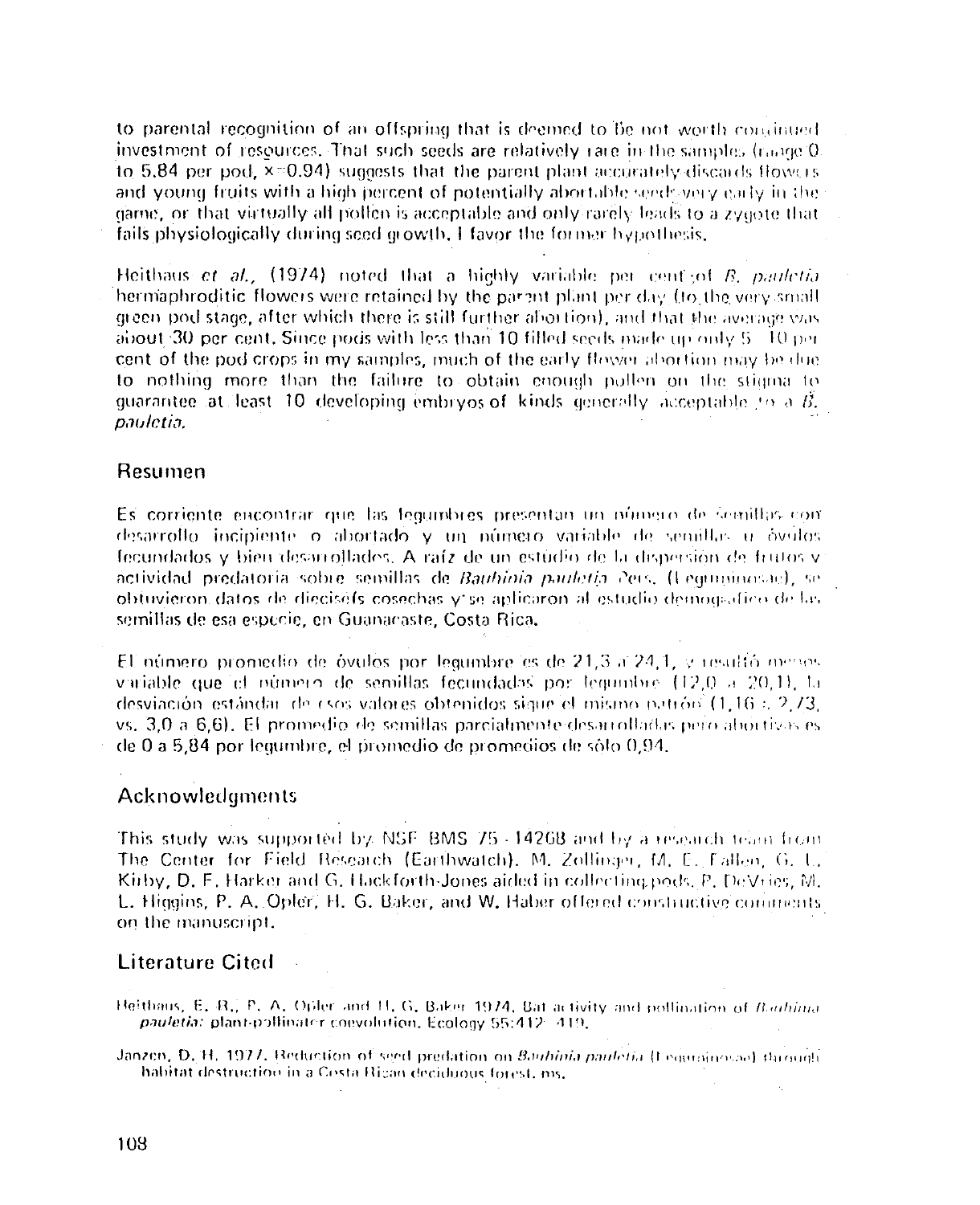to parental recognition of an offspring that is deemed to be not worth continued investment of resources. That such seeds are relatively rare in the samples (raine 0. to 5.84 per pod.  $\overline{x}$ =0.94) suggests that the parent plant accurately diseards flowers and young fruits with a high percent of potentially abortable seeds years early in the game, or that virtually all polien is acceptable and only rarely leads to a zygote that fails physiologically during seed growth. I favor the former hypothesis.

Heithaus et al., (1974) noted that a highly variable per cent of B. pauletia hermaphroditic flowers were retained by the parant plant per day (to the very small green pod stage, after which there is still further aboution), and that the average was about 30 per cent. Since pods with less than 10 filled seeds made up only 5 10 per cent of the pod crops in my samples, much of the early flower abortion may be due to nothing more than the failure to obtain enough pollen on the stigma to quarantee at least 10 developing embryos of kinds generally acceptable to a  $\hat{B}$ . pauletia.

#### Resumen

Es corriente encontrar que las legumbres presentan un número de semillas con desarrollo incipiente o abortado y un número variable de semillas u óvulos fecundados y bien desarrollades. A raíz de un estúdio de la dispersión de frutos y áctividad predatoria sobre semillas de Bauhinia pauletía Pers. (Leguminosae), se obtuvieron datos de dieciséfs cosechas vise aplicaron al estudio demografico de las semillas de esa especie, en Guanacaste, Costa Rica,

El número promedio de óvulos por legumbre es de 21.3 a 24.1, y resultó menos variable que el número de semillas fecundadas por legumbre (12.0 a 20.1), la desviación estándar de csos valores obtenidos siave el mismo patrón  $(1.16: 2.73)$ vs. 3.0 a 6.6). El promedio de semillas parcialmente desarrolladas pero abortivas es de 0 a 5.84 por legumbre, el promedio de promedios de sólo 0.94.

#### Acknowledgments

This study was supported by NSE BMS 75-14268 and by a research team from The Center for Field Research (Earthwatch), M. Zollinger, M. E. Fallen, G. L. Kirby, D. F. Harker and G. Hackforth-Jones aided in collecting pods. P. DeVries, M. L. Higgins, P. A. Opler, H. G. Baker, and W. Haber offered constructive comments on the manuscript,

# **Literature Cited**

Heithaus, E. R., P. A. Opler and H. G. Baker 1974. Bat activity and pollination of Bathinta pauletia: plant-pollinater coevolution, Ecology 55:412-419,

Janzen, D. H. 1977. Reduction of seed predation on Baubinia pauletia (Fegurational) through habitat destruction in a Costa Rican deciduous forest, ms.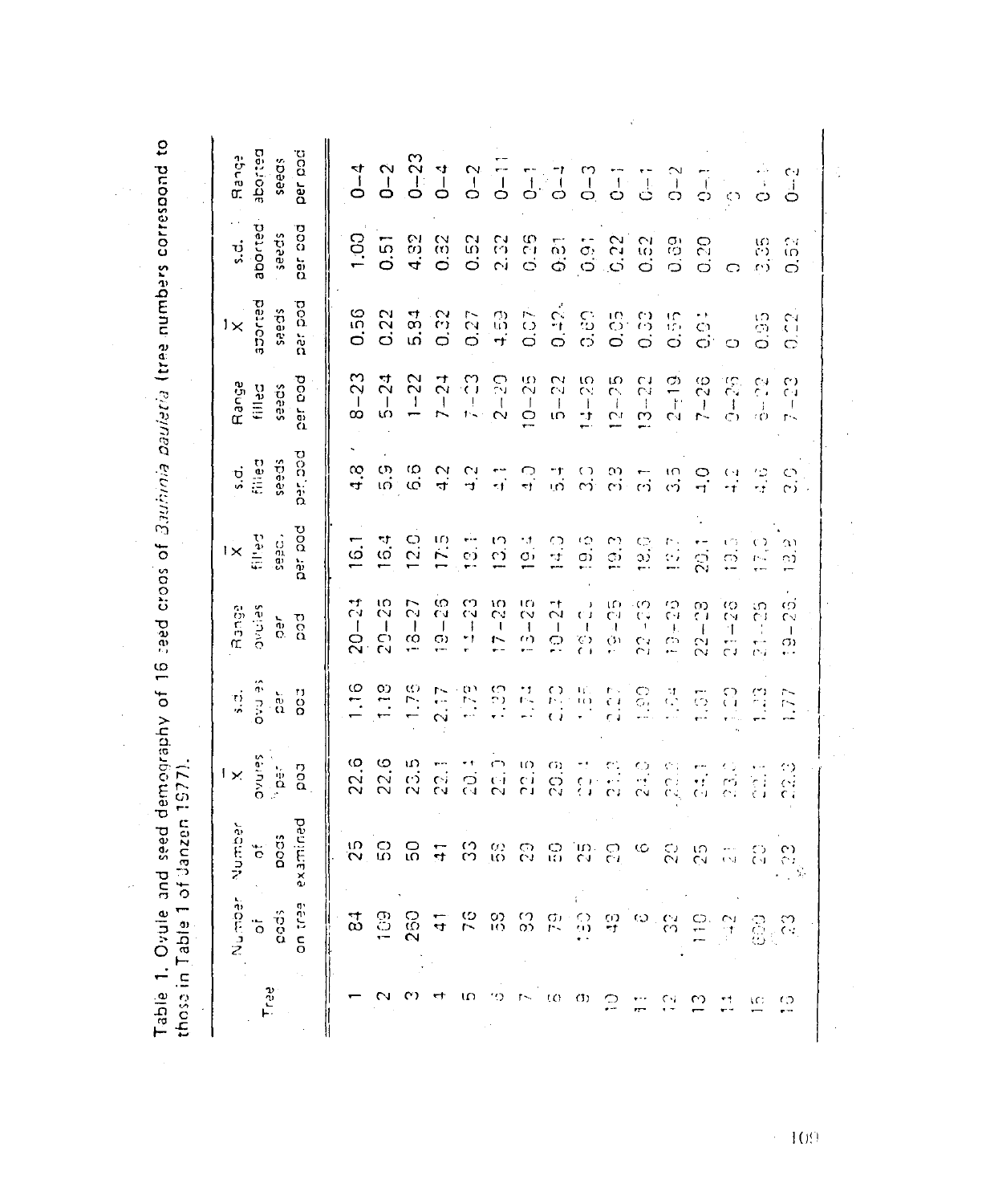| $-23$<br>per pod<br>$5 - 24$<br>$7 - 23$<br>$2 - 20$<br>$10 - 25$<br>$\frac{5}{2}$<br>$-22$<br>$12 - 25$<br>$3 - 22$<br>$2 - 19$<br>$-28$<br>$9 - 25$<br>Range<br>filled<br>seeds<br>7-1<br>ł<br>T<br>$\infty$<br>ιö<br>÷,<br>r.<br>$\left\langle \cdot \right\rangle$<br>ŗ.<br>per, pod<br>filled<br>seeds<br>$\frac{3}{4}$<br>က<br>က<br>6.6<br>s.d.<br>$\frac{2}{4}$<br>$\frac{4}{2}$<br>ु<br>ा<br>ज<br>$\frac{c}{c}$<br>$\frac{1}{\sqrt{2}}$<br>es<br>S<br>$\frac{10}{12}$<br>ں<br>ד<br>$\frac{1}{1}$<br>驾驶<br>ن<br>زم<br>$\overline{\overline{\omega}}$<br>per pod<br>till ed<br>12.0<br>175<br>seed.<br>16.4<br>e)<br>$\frac{1}{4}$<br>$\frac{1}{2}$<br>$\frac{1}{2}$<br>$\frac{1}{\alpha}$<br>$\alpha$<br>$\frac{3}{2}$<br>္သ<br>n<br>11<br>Р,<br>$\frac{16}{16}$<br>$\frac{1}{20}$<br>$\frac{1}{12}$<br>$1\times$<br>$\mathbb{C}^{\mathbb{Z}}$<br>w<br>ΩÓ | $\frac{5}{2}$<br>ς,<br>27<br>3<br>္ပ<br>C4<br>C<br>Ćν<br>$\cdot$ | -23<br>$\frac{10}{1}$<br>$20 - 24$<br>$13 - 25$<br>က္ခဲ<br>$-21$<br>$21 - 28$<br>$\frac{5}{2}$<br><b>Seining</b><br>Range<br>ro<br>G<br>ិ<br>$20 -$<br>$\frac{1}{2}$<br>$\frac{1}{2}$<br>$\mathbf{I}$<br>١,<br>$\mathfrak{f}$<br>$\mathbf i$<br>$\mathbf{I}$<br>÷i<br>$\dot{\mathbb{C}}$<br>$\frac{\zeta}{\zeta}$<br>$\mathbf{O}^{\dagger}$<br>$\sim$<br>e.<br>$\mathbb{C}$<br>22<br>G)<br>$\mathbf{r}$<br>Se hind<br>$\frac{6}{10}$<br>1.18<br>1.75<br>$\frac{1}{2}$<br>$\frac{5}{2}$<br>ri<br>Ci<br>$\frac{1}{2}$<br>昌<br>es<br>C<br>$\frac{1}{2}$<br>ੋ<br>ी<br>$\frac{\omega}{\omega}$<br>$\overline{\mathbb{C}}$<br>.77<br>्<br>ज<br>$\overset{\leftrightarrow}{\alpha}$<br>$\frac{1}{2}$<br>$\Omega$ | <b>Séinno</b><br>$22.\overline{0}$<br>22.6<br>235<br>22.7<br>22.5<br>50.9<br>$\frac{1}{\sqrt{2}}$<br>$\frac{3}{2}$<br>$\frac{1}{2}$<br>$_{\rm 2}^{\rm 5}$<br>22.1<br>번<br>같<br>$\frac{c_1}{c_2}$<br>း<br>ကိ<br>es:<br>$\frac{\dot{\mathbf{p}}}{\dot{\mathbf{p}}}$<br>$\mathbf{1}$ $\times$<br>Number<br>pods<br>$_{\Omega}^{\Omega}$<br>25<br>5O<br>္က<br>č<br>$\frac{\omega}{\omega}$<br>S<br>$\frac{1}{2}$<br>$\frac{1}{10}$<br>`ω∴<br>CJ<br>ဥ<br>¢<br>$\mathcal{E}$<br>ς3<br>읂<br>$\epsilon \propto$ | examined<br>್ತು.<br>೧೭<br>iecroek<br>eeu tue<br>$\mathop{\rm co}^6$<br>109<br>$\frac{1}{2}$<br>$\vec{\omega}$<br>250<br>ŠΣ<br>$\frac{0}{10}$<br>٢D<br>G)<br>$\circ$<br>$\frac{10}{11}$<br>앆<br>8<br>$\frac{1}{4}$<br>្នា<br>$\mathbb{S}^{\infty}_{\leq 0}$<br>$\ddot{\circ}$<br>OD.<br>ŕ. |
|------------------------------------------------------------------------------------------------------------------------------------------------------------------------------------------------------------------------------------------------------------------------------------------------------------------------------------------------------------------------------------------------------------------------------------------------------------------------------------------------------------------------------------------------------------------------------------------------------------------------------------------------------------------------------------------------------------------------------------------------------------------------------------------------------------------------------------------------------------------|------------------------------------------------------------------|-----------------------------------------------------------------------------------------------------------------------------------------------------------------------------------------------------------------------------------------------------------------------------------------------------------------------------------------------------------------------------------------------------------------------------------------------------------------------------------------------------------------------------------------------------------------------------------------------------------------------------------------------------------------------------------------------------------|---------------------------------------------------------------------------------------------------------------------------------------------------------------------------------------------------------------------------------------------------------------------------------------------------------------------------------------------------------------------------------------------------------------------------------------------------------------------------------------------------------|-------------------------------------------------------------------------------------------------------------------------------------------------------------------------------------------------------------------------------------------------------------------------------------------|
|------------------------------------------------------------------------------------------------------------------------------------------------------------------------------------------------------------------------------------------------------------------------------------------------------------------------------------------------------------------------------------------------------------------------------------------------------------------------------------------------------------------------------------------------------------------------------------------------------------------------------------------------------------------------------------------------------------------------------------------------------------------------------------------------------------------------------------------------------------------|------------------------------------------------------------------|-----------------------------------------------------------------------------------------------------------------------------------------------------------------------------------------------------------------------------------------------------------------------------------------------------------------------------------------------------------------------------------------------------------------------------------------------------------------------------------------------------------------------------------------------------------------------------------------------------------------------------------------------------------------------------------------------------------|---------------------------------------------------------------------------------------------------------------------------------------------------------------------------------------------------------------------------------------------------------------------------------------------------------------------------------------------------------------------------------------------------------------------------------------------------------------------------------------------------------|-------------------------------------------------------------------------------------------------------------------------------------------------------------------------------------------------------------------------------------------------------------------------------------------|

 $\sim 109$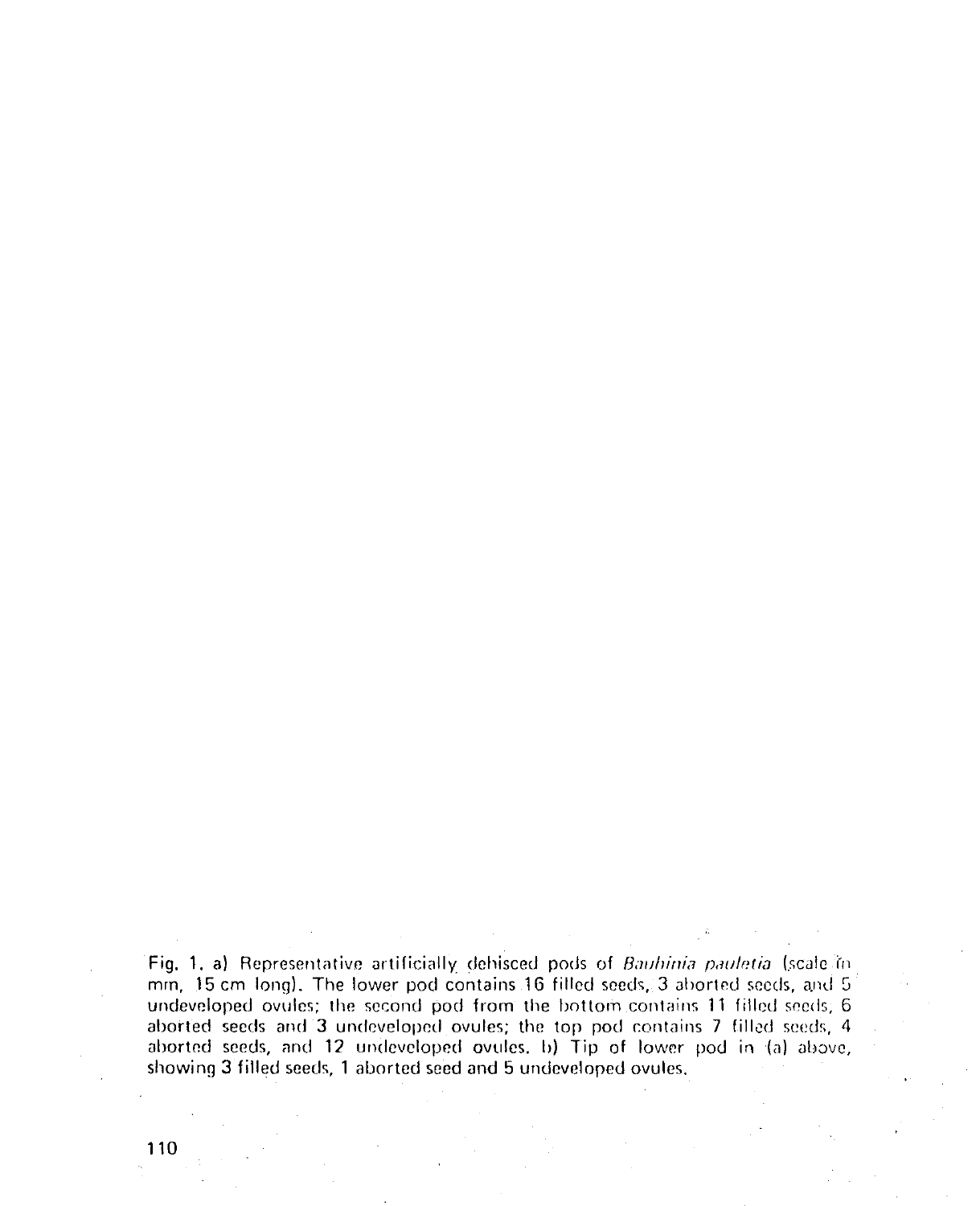Fig. 1. a) Representative artificially dehisced pods of Bauhinia pauletia (scale in mm, 15 cm long). The lower pod contains 16 filled seeds, 3 aborted seeds, and 5 undeveloped ovules; the second pod from the bottom contains 11 filled seeds; 6 aborted seeds and 3 undeveloped ovules; the top pod contains 7 filled seeds, 4 aborted seeds, and 12 undeveloped ovules, b) Tip of lower pod in (a) above, showing 3 filled seeds, 1 aborted seed and 5 undeveloped ovules.